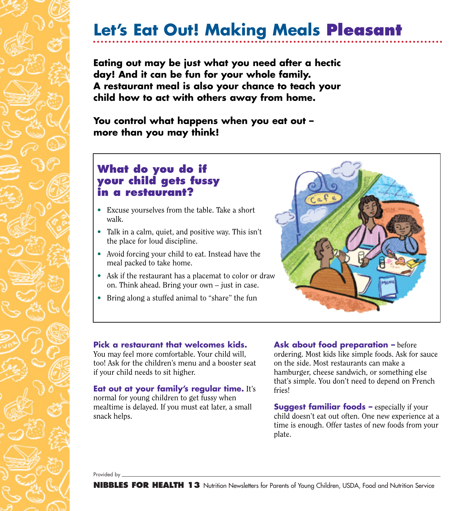## **Let's Eat Out! Making Meals Pleasant**

**Eating out may be just what you need after a hectic day! And it can be fun for your whole family. A restaurant meal is also your chance to teach your child how to act with others away from home.**

**You control what happens when you eat out – more than you may think!**

### **What do you do if your child gets fussy in a restaurant?**

- Excuse yourselves from the table. Take a short walk.
- Talk in a calm, quiet, and positive way. This isn't the place for loud discipline.
- Avoid forcing your child to eat. Instead have the meal packed to take home.
- Ask if the restaurant has a placemat to color or draw on. Think ahead. Bring your own – just in case.
- Bring along a stuffed animal to "share" the fun



#### **Pick a restaurant that welcomes kids.**

You may feel more comfortable. Your child will, too! Ask for the children's menu and a booster seat if your child needs to sit higher.

#### **Eat out at your family's regular time.** It's

normal for young children to get fussy when mealtime is delayed. If you must eat later, a small snack helps.

**Ask about food preparation –** before ordering. Most kids like simple foods. Ask for sauce on the side. Most restaurants can make a hamburger, cheese sandwich, or something else that's simple. You don't need to depend on French fries!

**Suggest familiar foods –** especially if your child doesn't eat out often. One new experience at a time is enough. Offer tastes of new foods from your plate.